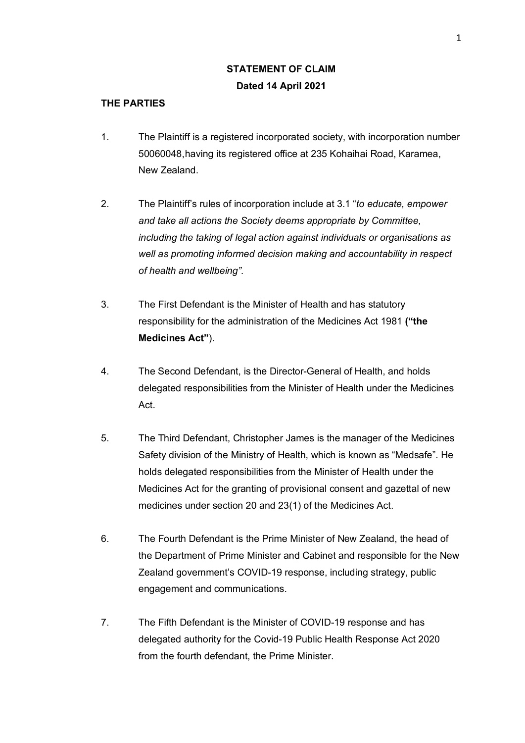# **STATEMENT OF CLAIM Dated 14 April 2021**

## **THE PARTIES**

- 1. The Plaintiff is a registered incorporated society, with incorporation number 50060048,having its registered office at 235 Kohaihai Road, Karamea, New Zealand.
- 2. The Plaintiff's rules of incorporation include at 3.1 "*to educate, empower and take all actions the Society deems appropriate by Committee, including the taking of legal action against individuals or organisations as well as promoting informed decision making and accountability in respect of health and wellbeing".*
- 3. The First Defendant is the Minister of Health and has statutory responsibility for the administration of the Medicines Act 1981 **("the Medicines Act"**).
- 4. The Second Defendant, is the Director-General of Health, and holds delegated responsibilities from the Minister of Health under the Medicines Act.
- 5. The Third Defendant, Christopher James is the manager of the Medicines Safety division of the Ministry of Health, which is known as "Medsafe". He holds delegated responsibilities from the Minister of Health under the Medicines Act for the granting of provisional consent and gazettal of new medicines under section 20 and 23(1) of the Medicines Act.
- 6. The Fourth Defendant is the Prime Minister of New Zealand, the head of the Department of Prime Minister and Cabinet and responsible for the New Zealand government's COVID-19 response, including strategy, public engagement and communications.
- 7. The Fifth Defendant is the Minister of COVID-19 response and has delegated authority for the Covid-19 Public Health Response Act 2020 from the fourth defendant, the Prime Minister.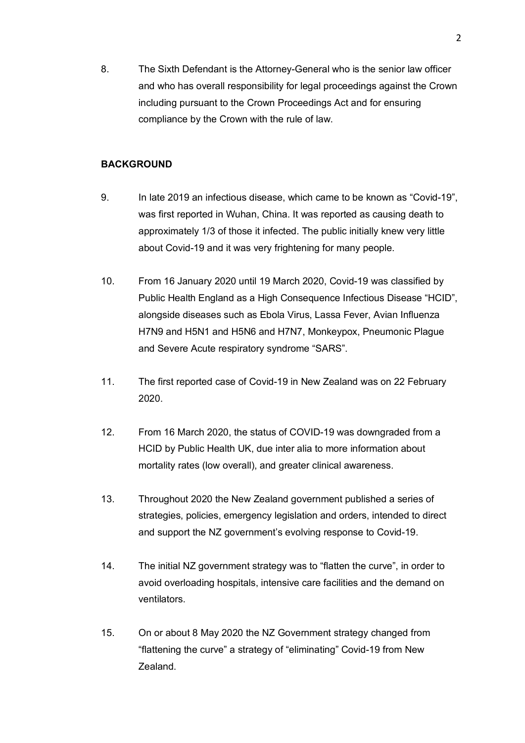8. The Sixth Defendant is the Attorney-General who is the senior law officer and who has overall responsibility for legal proceedings against the Crown including pursuant to the Crown Proceedings Act and for ensuring compliance by the Crown with the rule of law.

### **BACKGROUND**

- 9. In late 2019 an infectious disease, which came to be known as "Covid-19", was first reported in Wuhan, China. It was reported as causing death to approximately 1/3 of those it infected. The public initially knew very little about Covid-19 and it was very frightening for many people.
- 10. From 16 January 2020 until 19 March 2020, Covid-19 was classified by Public Health England as a High Consequence Infectious Disease "HCID", alongside diseases such as Ebola Virus, Lassa Fever, Avian Influenza H7N9 and H5N1 and H5N6 and H7N7, Monkeypox, Pneumonic Plague and Severe Acute respiratory syndrome "SARS".
- 11. The first reported case of Covid-19 in New Zealand was on 22 February 2020.
- 12. From 16 March 2020, the status of COVID-19 was downgraded from a HCID by Public Health UK, due inter alia to more information about mortality rates (low overall), and greater clinical awareness.
- 13. Throughout 2020 the New Zealand government published a series of strategies, policies, emergency legislation and orders, intended to direct and support the NZ government's evolving response to Covid-19.
- 14. The initial NZ government strategy was to "flatten the curve", in order to avoid overloading hospitals, intensive care facilities and the demand on ventilators.
- 15. On or about 8 May 2020 the NZ Government strategy changed from "flattening the curve" a strategy of "eliminating" Covid-19 from New Zealand.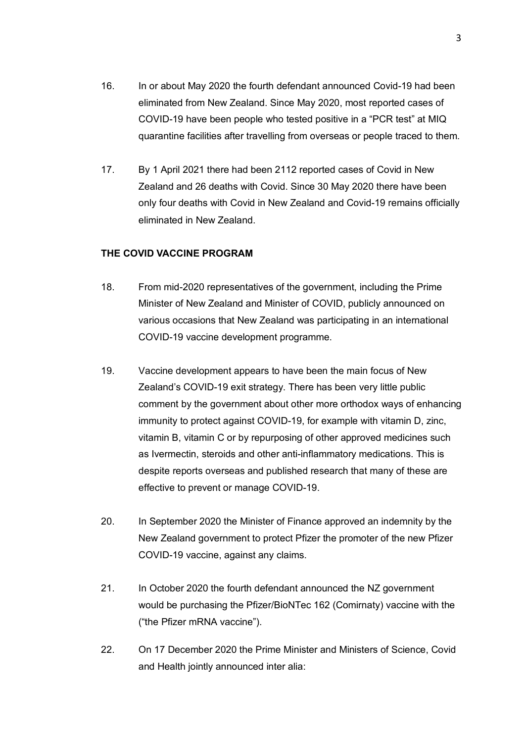- 16. In or about May 2020 the fourth defendant announced Covid-19 had been eliminated from New Zealand. Since May 2020, most reported cases of COVID-19 have been people who tested positive in a "PCR test" at MIQ quarantine facilities after travelling from overseas or people traced to them.
- 17. By 1 April 2021 there had been 2112 reported cases of Covid in New Zealand and 26 deaths with Covid. Since 30 May 2020 there have been only four deaths with Covid in New Zealand and Covid-19 remains officially eliminated in New Zealand.

### **THE COVID VACCINE PROGRAM**

- 18. From mid-2020 representatives of the government, including the Prime Minister of New Zealand and Minister of COVID, publicly announced on various occasions that New Zealand was participating in an international COVID-19 vaccine development programme.
- 19. Vaccine development appears to have been the main focus of New Zealand's COVID-19 exit strategy. There has been very little public comment by the government about other more orthodox ways of enhancing immunity to protect against COVID-19, for example with vitamin D, zinc, vitamin B, vitamin C or by repurposing of other approved medicines such as Ivermectin, steroids and other anti-inflammatory medications. This is despite reports overseas and published research that many of these are effective to prevent or manage COVID-19.
- 20. In September 2020 the Minister of Finance approved an indemnity by the New Zealand government to protect Pfizer the promoter of the new Pfizer COVID-19 vaccine, against any claims.
- 21. In October 2020 the fourth defendant announced the NZ government would be purchasing the Pfizer/BioNTec 162 (Comirnaty) vaccine with the ("the Pfizer mRNA vaccine").
- 22. On 17 December 2020 the Prime Minister and Ministers of Science, Covid and Health jointly announced inter alia: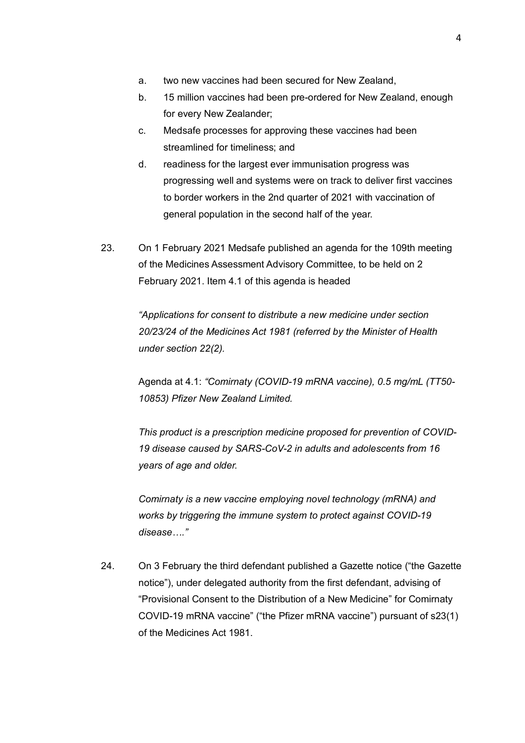- a. two new vaccines had been secured for New Zealand,
- b. 15 million vaccines had been pre-ordered for New Zealand, enough for every New Zealander;
- c. Medsafe processes for approving these vaccines had been streamlined for timeliness; and
- d. readiness for the largest ever immunisation progress was progressing well and systems were on track to deliver first vaccines to border workers in the 2nd quarter of 2021 with vaccination of general population in the second half of the year.
- 23. On 1 February 2021 Medsafe published an agenda for the 109th meeting of the Medicines Assessment Advisory Committee, to be held on 2 February 2021. Item 4.1 of this agenda is headed

*"Applications for consent to distribute a new medicine under section 20/23/24 of the Medicines Act 1981 (referred by the Minister of Health under section 22(2).* 

Agenda at 4.1: *"Comirnaty (COVID-19 mRNA vaccine), 0.5 mg/mL (TT50- 10853) Pfizer New Zealand Limited.* 

*This product is a prescription medicine proposed for prevention of COVID-19 disease caused by SARS-CoV-2 in adults and adolescents from 16 years of age and older.* 

*Comirnaty is a new vaccine employing novel technology (mRNA) and works by triggering the immune system to protect against COVID-19 disease…."*

24. On 3 February the third defendant published a Gazette notice ("the Gazette notice"), under delegated authority from the first defendant, advising of "Provisional Consent to the Distribution of a New Medicine" for Comirnaty COVID-19 mRNA vaccine" ("the Pfizer mRNA vaccine") pursuant of s23(1) of the Medicines Act 1981.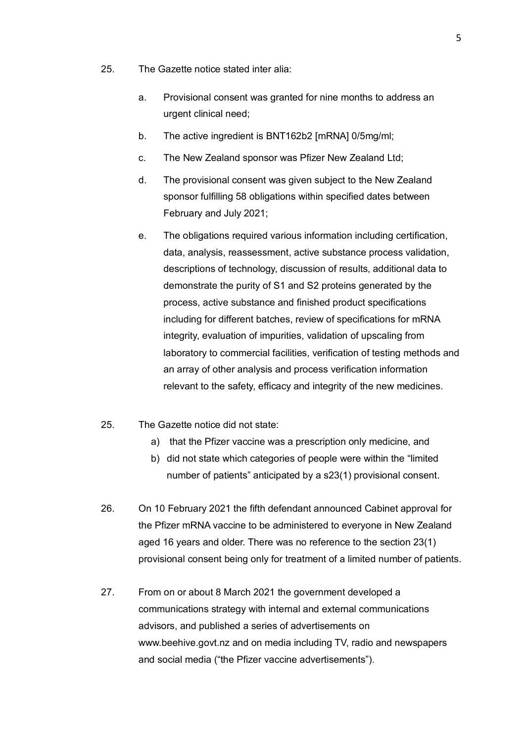- 25. The Gazette notice stated inter alia:
	- a. Provisional consent was granted for nine months to address an urgent clinical need;
	- b. The active ingredient is BNT162b2 [mRNA] 0/5mg/ml;
	- c. The New Zealand sponsor was Pfizer New Zealand Ltd;
	- d. The provisional consent was given subject to the New Zealand sponsor fulfilling 58 obligations within specified dates between February and July 2021;
	- e. The obligations required various information including certification, data, analysis, reassessment, active substance process validation, descriptions of technology, discussion of results, additional data to demonstrate the purity of S1 and S2 proteins generated by the process, active substance and finished product specifications including for different batches, review of specifications for mRNA integrity, evaluation of impurities, validation of upscaling from laboratory to commercial facilities, verification of testing methods and an array of other analysis and process verification information relevant to the safety, efficacy and integrity of the new medicines.
- 25. The Gazette notice did not state:
	- a) that the Pfizer vaccine was a prescription only medicine, and
	- b) did not state which categories of people were within the "limited number of patients" anticipated by a s23(1) provisional consent.
- 26. On 10 February 2021 the fifth defendant announced Cabinet approval for the Pfizer mRNA vaccine to be administered to everyone in New Zealand aged 16 years and older. There was no reference to the section 23(1) provisional consent being only for treatment of a limited number of patients.
- 27. From on or about 8 March 2021 the government developed a communications strategy with internal and external communications advisors, and published a series of advertisements on www.beehive.govt.nz and on media including TV, radio and newspapers and social media ("the Pfizer vaccine advertisements").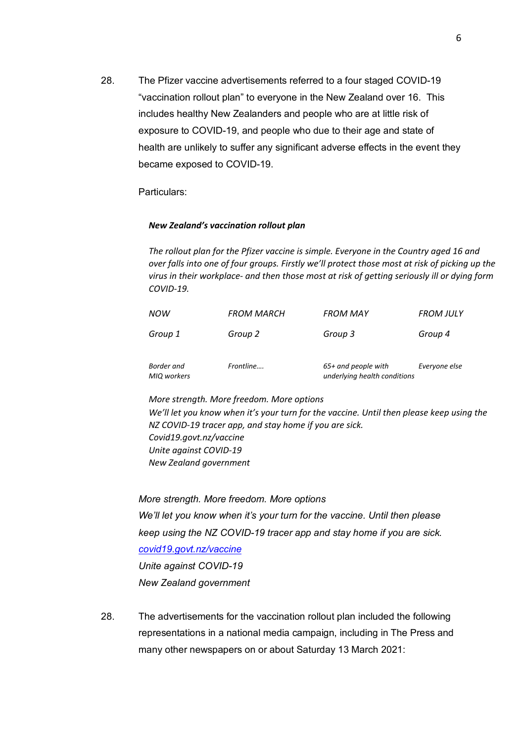28. The Pfizer vaccine advertisements referred to a four staged COVID-19 "vaccination rollout plan" to everyone in the New Zealand over 16. This includes healthy New Zealanders and people who are at little risk of exposure to COVID-19, and people who due to their age and state of health are unlikely to suffer any significant adverse effects in the event they became exposed to COVID-19.

Particulars:

#### *New Zealand's vaccination rollout plan*

*The rollout plan for the Pfizer vaccine is simple. Everyone in the Country aged 16 and over falls into one of four groups. Firstly we'll protect those most at risk of picking up the virus in their workplace- and then those most at risk of getting seriously ill or dying form COVID-19.*

| <b>NOW</b>  | <b>FROM MARCH</b> | FROM MAY                     | <b>FROM JULY</b> |
|-------------|-------------------|------------------------------|------------------|
| Group 1     | Group 2           | Group 3                      | Group 4          |
| Border and  | Frontline         | $65+$ and people with        | Everyone else    |
| MIQ workers |                   | underlying health conditions |                  |

#### *More strength. More freedom. More options*

*We'll let you know when it's your turn for the vaccine. Until then please keep using the NZ COVID-19 tracer app, and stay home if you are sick. Covid19.govt.nz/vaccine Unite against COVID-19 New Zealand government*

*More strength. More freedom. More options We'll let you know when it's your turn for the vaccine. Until then please keep using the NZ COVID-19 tracer app and stay home if you are sick. covid19.govt.nz/vaccine Unite against COVID-19 New Zealand government*

28. The advertisements for the vaccination rollout plan included the following representations in a national media campaign, including in The Press and many other newspapers on or about Saturday 13 March 2021: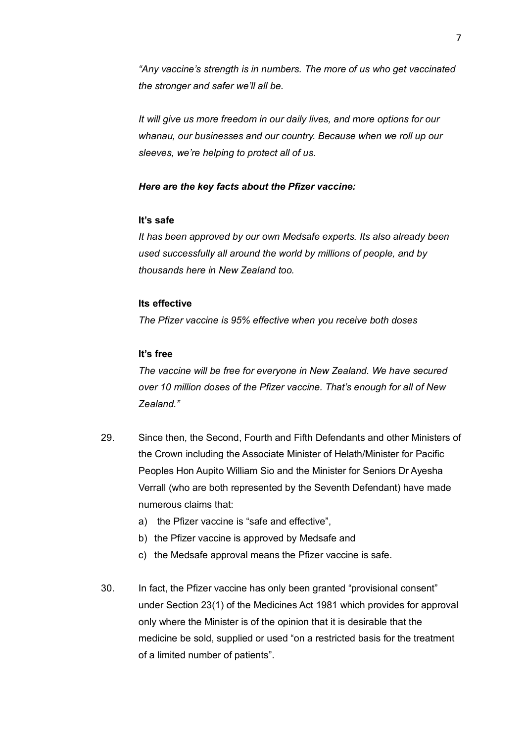*"Any vaccine's strength is in numbers. The more of us who get vaccinated the stronger and safer we'll all be.*

*It will give us more freedom in our daily lives, and more options for our whanau, our businesses and our country. Because when we roll up our sleeves, we're helping to protect all of us.*

#### *Here are the key facts about the Pfizer vaccine:*

### **It's safe**

*It has been approved by our own Medsafe experts. Its also already been used successfully all around the world by millions of people, and by thousands here in New Zealand too.*

### **Its effective**

*The Pfizer vaccine is 95% effective when you receive both doses*

### **It's free**

*The vaccine will be free for everyone in New Zealand. We have secured over 10 million doses of the Pfizer vaccine. That's enough for all of New Zealand."*

- 29. Since then, the Second, Fourth and Fifth Defendants and other Ministers of the Crown including the Associate Minister of Helath/Minister for Pacific Peoples Hon Aupito William Sio and the Minister for Seniors Dr Ayesha Verrall (who are both represented by the Seventh Defendant) have made numerous claims that:
	- a) the Pfizer vaccine is "safe and effective",
	- b) the Pfizer vaccine is approved by Medsafe and
	- c) the Medsafe approval means the Pfizer vaccine is safe.
- 30. In fact, the Pfizer vaccine has only been granted "provisional consent" under Section 23(1) of the Medicines Act 1981 which provides for approval only where the Minister is of the opinion that it is desirable that the medicine be sold, supplied or used "on a restricted basis for the treatment of a limited number of patients".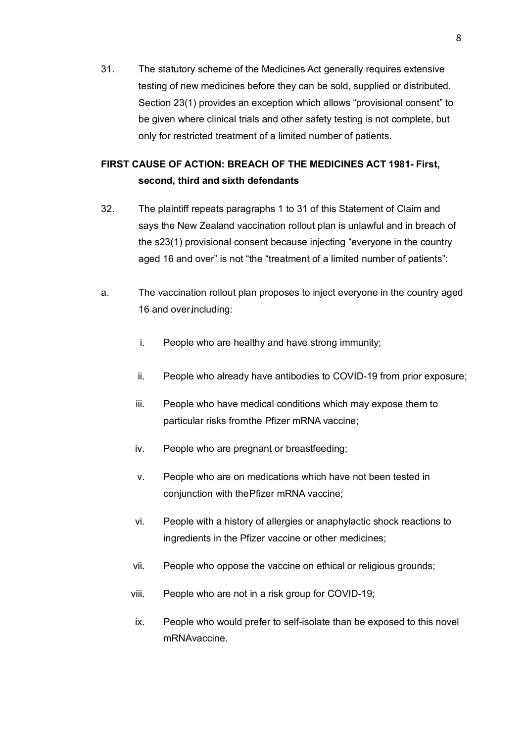31. The statutory scheme of the Medicines Act generally requires extensive testing of new medicines before they can be sold, supplied or distributed. Section 23(1) provides an exception which allows "provisional consent" to be given where clinical trials and other safety testing is not complete, but only for restricted treatment of a limited number of patients.

## **FIRST CAUSE OF ACTION: BREACH OF THE MEDICINES ACT 1981- First, second, third and sixth defendants**

- 32. The plaintiff repeats paragraphs 1 to 31 of this Statement of Claim and says the New Zealand vaccination rollout plan is unlawful and in breach of the s23(1) provisional consent because injecting "everyone in the country aged 16 and over" is not "the "treatment of a limited number of patients":
- a. The vaccination rollout plan proposes to inject everyone in the country aged 16 and over including:
	- i. People who are healthy and have strong immunity;
	- ii. People who already have antibodies to COVID-19 from prior exposure;
	- iii. People who have medical conditions which may expose them to particular risks fromthe Pfizer mRNA vaccine;
	- iv. People who are pregnant or breastfeeding;
	- v. People who are on medications which have not been tested in conjunction with thePfizer mRNA vaccine;
	- vi. People with a history of allergies or anaphylactic shock reactions to ingredients in the Pfizer vaccine or other medicines;
	- vii. People who oppose the vaccine on ethical or religious grounds;
	- viii. People who are not in a risk group for COVID-19;
	- ix. People who would prefer to self-isolate than be exposed to this novel mRNAvaccine.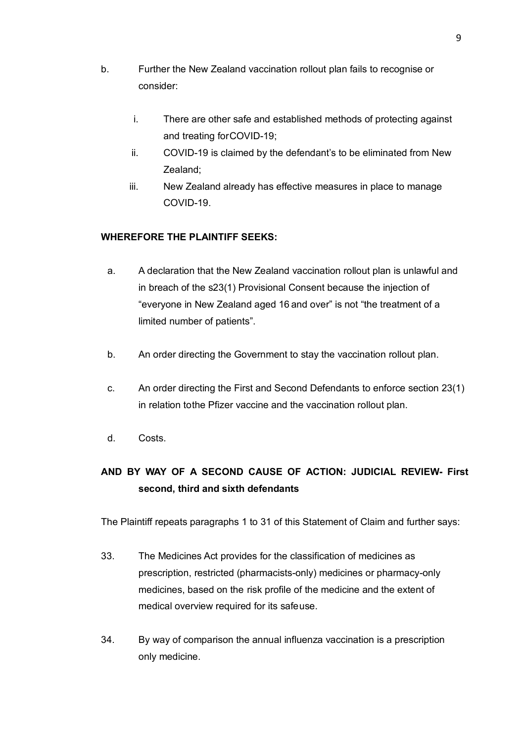- b. Further the New Zealand vaccination rollout plan fails to recognise or consider:
	- i. There are other safe and established methods of protecting against and treating forCOVID-19;
	- ii. COVID-19 is claimed by the defendant's to be eliminated from New Zealand;
	- iii. New Zealand already has effective measures in place to manage COVID-19.

## **WHEREFORE THE PLAINTIFF SEEKS:**

- a. A declaration that the New Zealand vaccination rollout plan is unlawful and in breach of the s23(1) Provisional Consent because the injection of "everyone in New Zealand aged 16 and over" is not "the treatment of a limited number of patients".
- b. An order directing the Government to stay the vaccination rollout plan.
- c. An order directing the First and Second Defendants to enforce section 23(1) in relation tothe Pfizer vaccine and the vaccination rollout plan.
- d. Costs.

# **AND BY WAY OF A SECOND CAUSE OF ACTION: JUDICIAL REVIEW- First second, third and sixth defendants**

The Plaintiff repeats paragraphs 1 to 31 of this Statement of Claim and further says:

- 33. The Medicines Act provides for the classification of medicines as prescription, restricted (pharmacists-only) medicines or pharmacy-only medicines, based on the risk profile of the medicine and the extent of medical overview required for its safeuse.
- 34. By way of comparison the annual influenza vaccination is a prescription only medicine.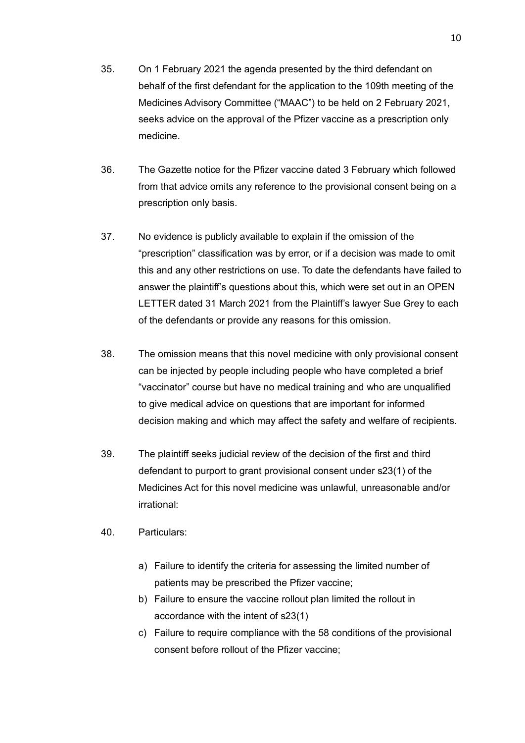- 35. On 1 February 2021 the agenda presented by the third defendant on behalf of the first defendant for the application to the 109th meeting of the Medicines Advisory Committee ("MAAC") to be held on 2 February 2021, seeks advice on the approval of the Pfizer vaccine as a prescription only medicine.
- 36. The Gazette notice for the Pfizer vaccine dated 3 February which followed from that advice omits any reference to the provisional consent being on a prescription only basis.
- 37. No evidence is publicly available to explain if the omission of the "prescription" classification was by error, or if a decision was made to omit this and any other restrictions on use. To date the defendants have failed to answer the plaintiff's questions about this, which were set out in an OPEN LETTER dated 31 March 2021 from the Plaintiff's lawyer Sue Grey to each of the defendants or provide any reasons for this omission.
- 38. The omission means that this novel medicine with only provisional consent can be injected by people including people who have completed a brief "vaccinator" course but have no medical training and who are unqualified to give medical advice on questions that are important for informed decision making and which may affect the safety and welfare of recipients.
- 39. The plaintiff seeks judicial review of the decision of the first and third defendant to purport to grant provisional consent under s23(1) of the Medicines Act for this novel medicine was unlawful, unreasonable and/or irrational:
- 40. Particulars:
	- a) Failure to identify the criteria for assessing the limited number of patients may be prescribed the Pfizer vaccine;
	- b) Failure to ensure the vaccine rollout plan limited the rollout in accordance with the intent of s23(1)
	- c) Failure to require compliance with the 58 conditions of the provisional consent before rollout of the Pfizer vaccine;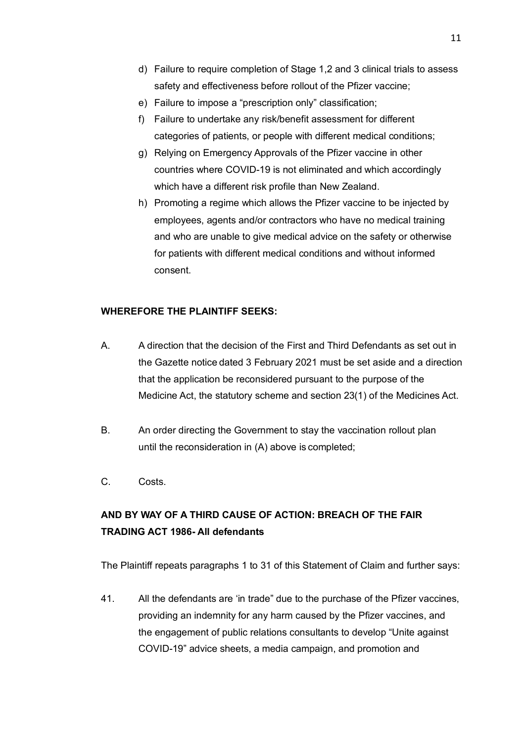- d) Failure to require completion of Stage 1,2 and 3 clinical trials to assess safety and effectiveness before rollout of the Pfizer vaccine;
- e) Failure to impose a "prescription only" classification;
- f) Failure to undertake any risk/benefit assessment for different categories of patients, or people with different medical conditions;
- g) Relying on Emergency Approvals of the Pfizer vaccine in other countries where COVID-19 is not eliminated and which accordingly which have a different risk profile than New Zealand.
- h) Promoting a regime which allows the Pfizer vaccine to be injected by employees, agents and/or contractors who have no medical training and who are unable to give medical advice on the safety or otherwise for patients with different medical conditions and without informed consent.

## **WHEREFORE THE PLAINTIFF SEEKS:**

- A. A direction that the decision of the First and Third Defendants as set out in the Gazette notice dated 3 February 2021 must be set aside and a direction that the application be reconsidered pursuant to the purpose of the Medicine Act, the statutory scheme and section 23(1) of the Medicines Act.
- B. An order directing the Government to stay the vaccination rollout plan until the reconsideration in (A) above is completed;
- C. Costs.

# **AND BY WAY OF A THIRD CAUSE OF ACTION: BREACH OF THE FAIR TRADING ACT 1986- All defendants**

The Plaintiff repeats paragraphs 1 to 31 of this Statement of Claim and further says:

41. All the defendants are 'in trade" due to the purchase of the Pfizer vaccines, providing an indemnity for any harm caused by the Pfizer vaccines, and the engagement of public relations consultants to develop "Unite against COVID-19" advice sheets, a media campaign, and promotion and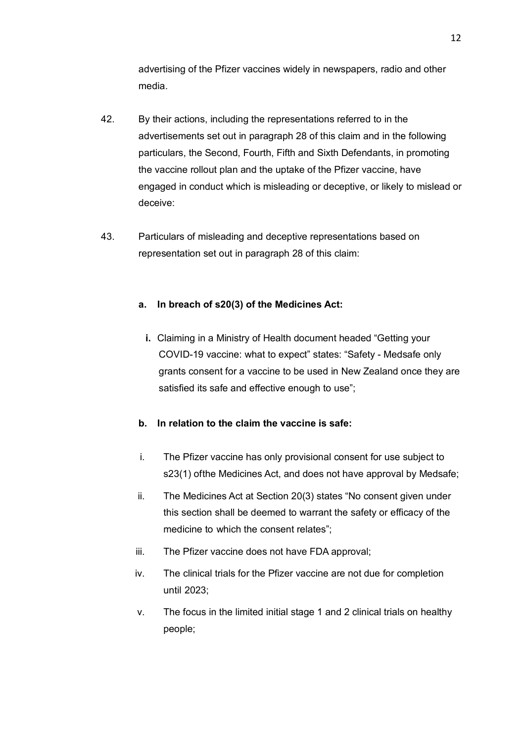advertising of the Pfizer vaccines widely in newspapers, radio and other media.

- 42. By their actions, including the representations referred to in the advertisements set out in paragraph 28 of this claim and in the following particulars, the Second, Fourth, Fifth and Sixth Defendants, in promoting the vaccine rollout plan and the uptake of the Pfizer vaccine, have engaged in conduct which is misleading or deceptive, or likely to mislead or deceive:
- 43. Particulars of misleading and deceptive representations based on representation set out in paragraph 28 of this claim:

## **a. In breach of s20(3) of the Medicines Act:**

**i.** Claiming in a Ministry of Health document headed "Getting your COVID-19 vaccine: what to expect" states: "Safety - Medsafe only grants consent for a vaccine to be used in New Zealand once they are satisfied its safe and effective enough to use";

## **b. In relation to the claim the vaccine is safe:**

- i. The Pfizer vaccine has only provisional consent for use subject to s23(1) ofthe Medicines Act, and does not have approval by Medsafe;
- ii. The Medicines Act at Section 20(3) states "No consent given under this section shall be deemed to warrant the safety or efficacy of the medicine to which the consent relates";
- iii. The Pfizer vaccine does not have FDA approval;
- iv. The clinical trials for the Pfizer vaccine are not due for completion until 2023;
- v. The focus in the limited initial stage 1 and 2 clinical trials on healthy people;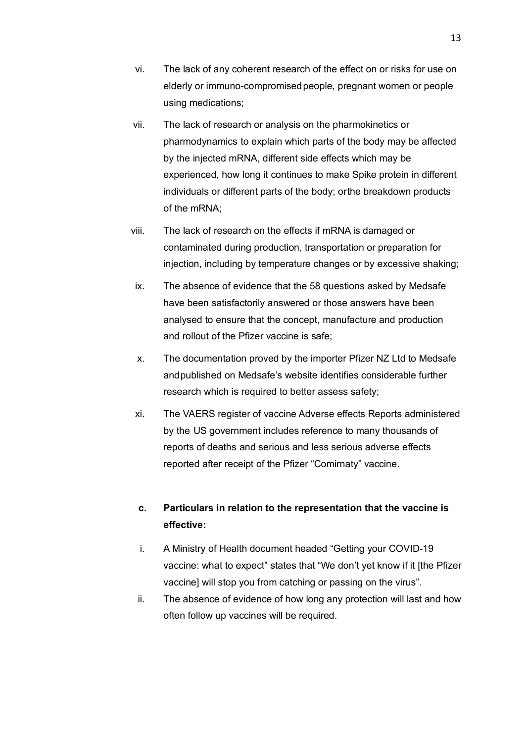- vi. The lack of any coherent research of the effect on or risks for use on elderly or immuno-compromisedpeople, pregnant women or people using medications;
- vii. The lack of research or analysis on the pharmokinetics or pharmodynamics to explain which parts of the body may be affected by the injected mRNA, different side effects which may be experienced, how long it continues to make Spike protein in different individuals or different parts of the body; orthe breakdown products of the mRNA;
- viii. The lack of research on the effects if mRNA is damaged or contaminated during production, transportation or preparation for injection, including by temperature changes or by excessive shaking;
- ix. The absence of evidence that the 58 questions asked by Medsafe have been satisfactorily answered or those answers have been analysed to ensure that the concept, manufacture and production and rollout of the Pfizer vaccine is safe;
- x. The documentation proved by the importer Pfizer NZ Ltd to Medsafe andpublished on Medsafe's website identifies considerable further research which is required to better assess safety;
- xi. The VAERS register of vaccine Adverse effects Reports administered by the US government includes reference to many thousands of reports of deaths and serious and less serious adverse effects reported after receipt of the Pfizer "Comirnaty" vaccine.

## **c. Particulars in relation to the representation that the vaccine is effective:**

- i. A Ministry of Health document headed "Getting your COVID-19 vaccine: what to expect" states that "We don't yet know if it [the Pfizer vaccine] will stop you from catching or passing on the virus".
- ii. The absence of evidence of how long any protection will last and how often follow up vaccines will be required.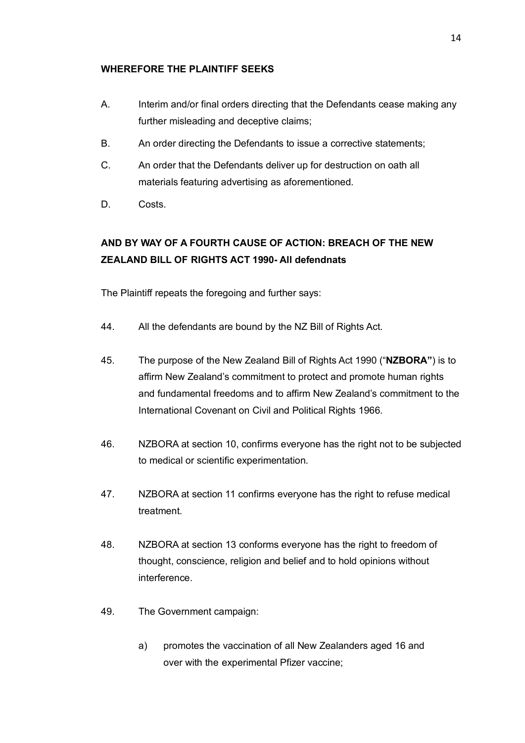### **WHEREFORE THE PLAINTIFF SEEKS**

- A. Interim and/or final orders directing that the Defendants cease making any further misleading and deceptive claims;
- B. An order directing the Defendants to issue a corrective statements;
- C. An order that the Defendants deliver up for destruction on oath all materials featuring advertising as aforementioned.
- D. Costs.

## **AND BY WAY OF A FOURTH CAUSE OF ACTION: BREACH OF THE NEW ZEALAND BILL OF RIGHTS ACT 1990- All defendnats**

The Plaintiff repeats the foregoing and further says:

- 44. All the defendants are bound by the NZ Bill of Rights Act.
- 45. The purpose of the New Zealand Bill of Rights Act 1990 ("**NZBORA"**) is to affirm New Zealand's commitment to protect and promote human rights and fundamental freedoms and to affirm New Zealand's commitment to the International Covenant on Civil and Political Rights 1966.
- 46. NZBORA at section 10, confirms everyone has the right not to be subjected to medical or scientific experimentation.
- 47. NZBORA at section 11 confirms everyone has the right to refuse medical treatment.
- 48. NZBORA at section 13 conforms everyone has the right to freedom of thought, conscience, religion and belief and to hold opinions without interference.
- 49. The Government campaign:
	- a) promotes the vaccination of all New Zealanders aged 16 and over with the experimental Pfizer vaccine;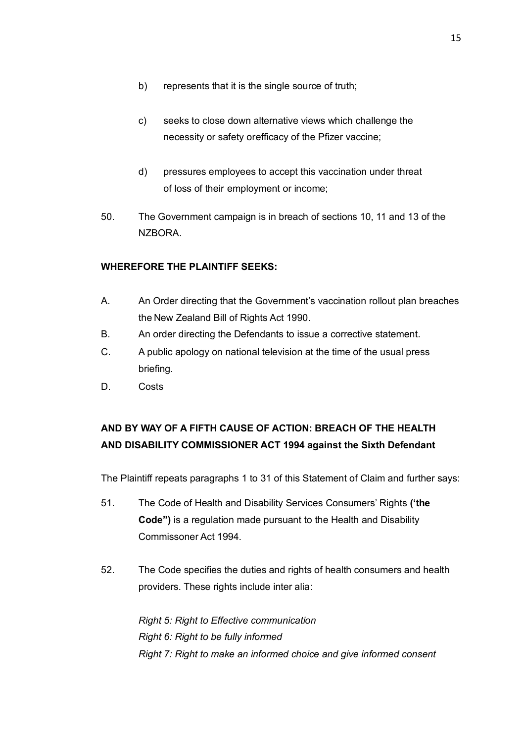- b) represents that it is the single source of truth;
- c) seeks to close down alternative views which challenge the necessity or safety orefficacy of the Pfizer vaccine;
- d) pressures employees to accept this vaccination under threat of loss of their employment or income;
- 50. The Government campaign is in breach of sections 10, 11 and 13 of the NZBORA.

## **WHEREFORE THE PLAINTIFF SEEKS:**

- A. An Order directing that the Government's vaccination rollout plan breaches the New Zealand Bill of Rights Act 1990.
- B. An order directing the Defendants to issue a corrective statement.
- C. A public apology on national television at the time of the usual press briefing.
- D. Costs

# **AND BY WAY OF A FIFTH CAUSE OF ACTION: BREACH OF THE HEALTH AND DISABILITY COMMISSIONER ACT 1994 against the Sixth Defendant**

The Plaintiff repeats paragraphs 1 to 31 of this Statement of Claim and further says:

- 51. The Code of Health and Disability Services Consumers' Rights **('the Code")** is a regulation made pursuant to the Health and Disability Commissoner Act 1994.
- 52. The Code specifies the duties and rights of health consumers and health providers. These rights include inter alia:

*Right 5: Right to Effective communication Right 6: Right to be fully informed Right 7: Right to make an informed choice and give informed consent*